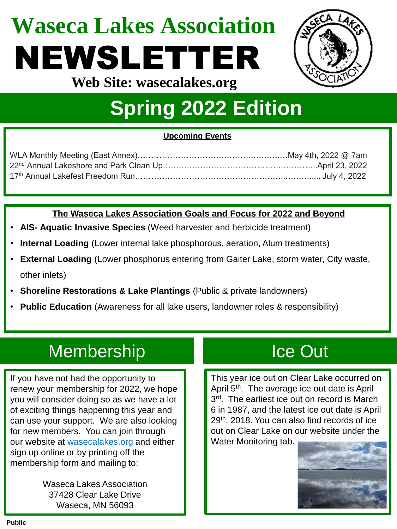# **Waseca Lakes Association** NEWSLETTER



**Web Site: wasecalakes.org**

## **Spring 2022 Edition**

### **Upcoming Events**

### **The Waseca Lakes Association Goals and Focus for 2022 and Beyond**

- **AIS- Aquatic Invasive Species** (Weed harvester and herbicide treatment)
- **Internal Loading** (Lower internal lake phosphorous, aeration, Alum treatments)
- **External Loading** (Lower phosphorus entering from Gaiter Lake, storm water, City waste, other inlets)
- **Shoreline Restorations & Lake Plantings** (Public & private landowners)
- **Public Education** (Awareness for all lake users, landowner roles & responsibility)

### Membership Ice Out

If you have not had the opportunity to renew your membership for 2022, we hope you will consider doing so as we have a lot of exciting things happening this year and can use your support. We are also looking for new members. You can join through our website at [wasecalakes.org](https://wasecalakes.org/) and either sign up online or by printing off the membership form and mailing to:

> Waseca Lakes Association 37428 Clear Lake Drive Waseca, MN 56093

This year ice out on Clear Lake occurred on April 5<sup>th</sup>. The average ice out date is April 3<sup>rd</sup>. The earliest ice out on record is March 6 in 1987, and the latest ice out date is April 29th, 2018. You can also find records of ice out on Clear Lake on our website under the Water Monitoring tab.

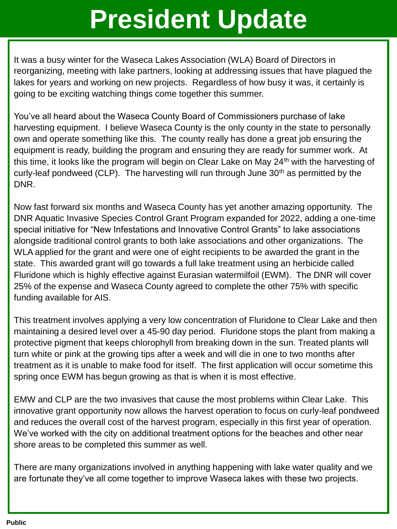## **President Update**

It was a busy winter for the Waseca Lakes Association (WLA) Board of Directors in reorganizing, meeting with lake partners, looking at addressing issues that have plagued the lakes for years and working on new projects. Regardless of how busy it was, it certainly is going to be exciting watching things come together this summer.

You've all heard about the Waseca County Board of Commissioners purchase of lake harvesting equipment. I believe Waseca County is the only county in the state to personally own and operate something like this. The county really has done a great job ensuring the equipment is ready, building the program and ensuring they are ready for summer work. At this time, it looks like the program will begin on Clear Lake on May 24<sup>th</sup> with the harvesting of curly-leaf pondweed (CLP). The harvesting will run through June  $30<sup>th</sup>$  as permitted by the DNR.

Now fast forward six months and Waseca County has yet another amazing opportunity. The DNR Aquatic Invasive Species Control Grant Program expanded for 2022, adding a one-time special initiative for "New Infestations and Innovative Control Grants" to lake associations alongside traditional control grants to both lake associations and other organizations. The WLA applied for the grant and were one of eight recipients to be awarded the grant in the state. This awarded grant will go towards a full lake treatment using an herbicide called Fluridone which is highly effective against Eurasian watermilfoil (EWM). The DNR will cover 25% of the expense and Waseca County agreed to complete the other 75% with specific funding available for AIS.

This treatment involves applying a very low concentration of Fluridone to Clear Lake and then maintaining a desired level over a 45-90 day period. Fluridone stops the plant from making a protective pigment that keeps chlorophyll from breaking down in the sun. Treated plants will turn white or pink at the growing tips after a week and will die in one to two months after treatment as it is unable to make food for itself. The first application will occur sometime this spring once EWM has begun growing as that is when it is most effective.

EMW and CLP are the two invasives that cause the most problems within Clear Lake. This innovative grant opportunity now allows the harvest operation to focus on curly-leaf pondweed and reduces the overall cost of the harvest program, especially in this first year of operation. We've worked with the city on additional treatment options for the beaches and other near shore areas to be completed this summer as well.

There are many organizations involved in anything happening with lake water quality and we are fortunate they've all come together to improve Waseca lakes with these two projects.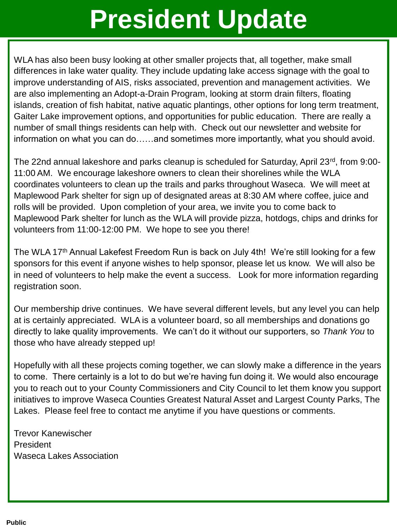## **President Update**

WLA has also been busy looking at other smaller projects that, all together, make small differences in lake water quality. They include updating lake access signage with the goal to improve understanding of AIS, risks associated, prevention and management activities. We are also implementing an Adopt-a-Drain Program, looking at storm drain filters, floating islands, creation of fish habitat, native aquatic plantings, other options for long term treatment, Gaiter Lake improvement options, and opportunities for public education. There are really a number of small things residents can help with. Check out our newsletter and website for information on what you can do……and sometimes more importantly, what you should avoid.

The 22nd annual lakeshore and parks cleanup is scheduled for Saturday, April 23<sup>rd</sup>, from 9:00-11:00 AM. We encourage lakeshore owners to clean their shorelines while the WLA coordinates volunteers to clean up the trails and parks throughout Waseca. We will meet at Maplewood Park shelter for sign up of designated areas at 8:30 AM where coffee, juice and rolls will be provided. Upon completion of your area, we invite you to come back to Maplewood Park shelter for lunch as the WLA will provide pizza, hotdogs, chips and drinks for volunteers from 11:00-12:00 PM. We hope to see you there!

The WLA 17<sup>th</sup> Annual Lakefest Freedom Run is back on July 4th! We're still looking for a few sponsors for this event if anyone wishes to help sponsor, please let us know. We will also be in need of volunteers to help make the event a success. Look for more information regarding registration soon.

Our membership drive continues. We have several different levels, but any level you can help at is certainly appreciated. WLA is a volunteer board, so all memberships and donations go directly to lake quality improvements. We can't do it without our supporters, so *Thank You* to those who have already stepped up!

Hopefully with all these projects coming together, we can slowly make a difference in the years to come. There certainly is a lot to do but we're having fun doing it. We would also encourage you to reach out to your County Commissioners and City Council to let them know you support initiatives to improve Waseca Counties Greatest Natural Asset and Largest County Parks, The Lakes. Please feel free to contact me anytime if you have questions or comments.

Trevor Kanewischer President Waseca Lakes Association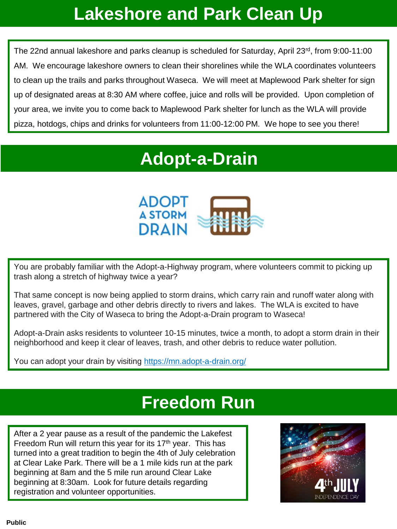### **Lakeshore and Park Clean Up**

The 22nd annual lakeshore and parks cleanup is scheduled for Saturday, April 23rd, from 9:00-11:00 AM. We encourage lakeshore owners to clean their shorelines while the WLA coordinates volunteers to clean up the trails and parks throughout Waseca. We will meet at Maplewood Park shelter for sign up of designated areas at 8:30 AM where coffee, juice and rolls will be provided. Upon completion of your area, we invite you to come back to Maplewood Park shelter for lunch as the WLA will provide pizza, hotdogs, chips and drinks for volunteers from 11:00-12:00 PM. We hope to see you there!

### **Adopt-a-Drain**



You are probably familiar with the Adopt-a-Highway program, where volunteers commit to picking up trash along a stretch of highway twice a year?

That same concept is now being applied to storm drains, which carry rain and runoff water along with leaves, gravel, garbage and other debris directly to rivers and lakes. The WLA is excited to have partnered with the City of Waseca to bring the Adopt-a-Drain program to Waseca!

Adopt-a-Drain asks residents to volunteer 10-15 minutes, twice a month, to adopt a storm drain in their neighborhood and keep it clear of leaves, trash, and other debris to reduce water pollution.

You can adopt your drain by visiting <https://mn.adopt-a-drain.org/>

### **Freedom Run**

After a 2 year pause as a result of the pandemic the Lakefest Freedom Run will return this year for its  $17<sup>th</sup>$  year. This has turned into a great tradition to begin the 4th of July celebration at Clear Lake Park. There will be a 1 mile kids run at the park beginning at 8am and the 5 mile run around Clear Lake beginning at 8:30am. Look for future details regarding registration and volunteer opportunities.

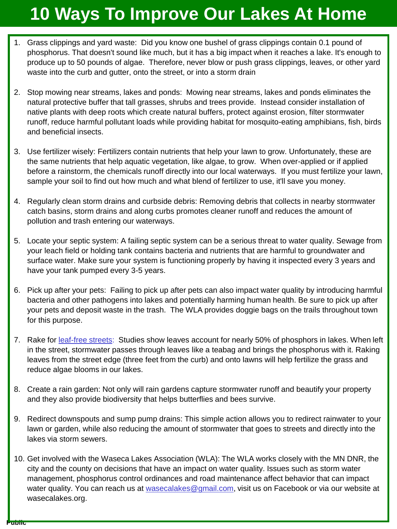### **10 Ways To Improve Our Lakes At Home**

- 1. Grass clippings and yard waste: Did you know one bushel of grass clippings contain 0.1 pound of phosphorus. That doesn't sound like much, but it has a big impact when it reaches a lake. It's enough to produce up to 50 pounds of algae. Therefore, never blow or push grass clippings, leaves, or other yard waste into the curb and gutter, onto the street, or into a storm drain
- 2. Stop mowing near streams, lakes and ponds: Mowing near streams, lakes and ponds eliminates the natural protective buffer that tall grasses, shrubs and trees provide. Instead consider installation of native plants with deep roots which create natural buffers, protect against erosion, filter stormwater runoff, reduce harmful pollutant loads while providing habitat for mosquito-eating amphibians, fish, birds and beneficial insects.
- 3. Use fertilizer wisely: Fertilizers contain nutrients that help your lawn to grow. Unfortunately, these are the same nutrients that help aquatic vegetation, like algae, to grow. When over-applied or if applied before a rainstorm, the chemicals runoff directly into our local waterways. If you must fertilize your lawn, sample your soil to find out how much and what blend of fertilizer to use, it'll save you money.
- 4. Regularly clean storm drains and curbside debris: Removing debris that collects in nearby stormwater catch basins, storm drains and along curbs promotes cleaner runoff and reduces the amount of pollution and trash entering our waterways.
- 5. Locate your septic system: A failing septic system can be a serious threat to water quality. Sewage from your leach field or holding tank contains bacteria and nutrients that are harmful to groundwater and surface water. Make sure your system is functioning properly by having it inspected every 3 years and have your tank pumped every 3-5 years.
- 6. Pick up after your pets: Failing to pick up after pets can also impact water quality by introducing harmful bacteria and other pathogens into lakes and potentially harming human health. Be sure to pick up after your pets and deposit waste in the trash. The WLA provides doggie bags on the trails throughout town for this purpose.
- 7. Rake for [leaf-free streets:](https://www.cleanlakesalliance.org/leaves/) Studies show leaves account for nearly 50% of phosphors in lakes. When left in the street, stormwater passes through leaves like a teabag and brings the phosphorus with it. Raking leaves from the street edge (three feet from the curb) and onto lawns will help fertilize the grass and reduce algae blooms in our lakes.
- 8. Create a rain garden: Not only will rain gardens capture stormwater runoff and beautify your property and they also provide biodiversity that helps butterflies and bees survive.
- 9. Redirect downspouts and sump pump drains: This simple action allows you to redirect rainwater to your lawn or garden, while also reducing the amount of stormwater that goes to streets and directly into the lakes via storm sewers.
- 10. Get involved with the Waseca Lakes Association (WLA): The WLA works closely with the MN DNR, the city and the county on decisions that have an impact on water quality. Issues such as storm water management, phosphorus control ordinances and road maintenance affect behavior that can impact water quality. You can reach us at [wasecalakes@gmail.com,](mailto:wasecalakes@gmail.com) visit us on Facebook or via our website at wasecalakes.org.

**Public**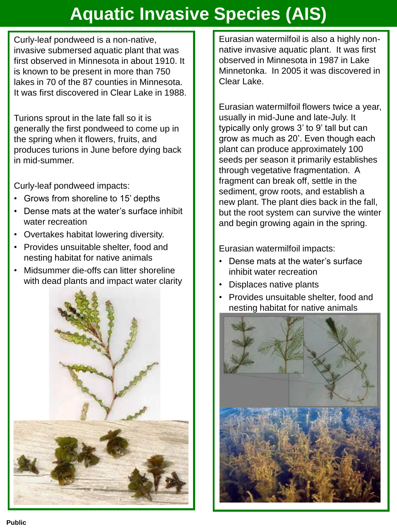## **Aquatic Invasive Species (AIS)**

Curly-leaf pondweed is a non-native, invasive submersed aquatic plant that was first observed in Minnesota in about 1910. It is known to be present in more than 750 lakes in 70 of the 87 counties in Minnesota. It was first discovered in Clear Lake in 1988.

Turions sprout in the late fall so it is generally the first pondweed to come up in the spring when it flowers, fruits, and produces turions in June before dying back in mid-summer.

Curly-leaf pondweed impacts:

- Grows from shoreline to 15' depths
- Dense mats at the water's surface inhibit water recreation
- Overtakes habitat lowering diversity.
- Provides unsuitable shelter, food and nesting habitat for native animals
- Midsummer die-offs can litter shoreline with dead plants and impact water clarity



Eurasian watermilfoil is also a highly nonnative invasive aquatic plant. It was first observed in Minnesota in 1987 in Lake Minnetonka. In 2005 it was discovered in Clear Lake.

Eurasian watermilfoil flowers twice a year, usually in mid-June and late-July. It typically only grows 3' to 9' tall but can grow as much as 20'. Even though each plant can produce approximately 100 seeds per season it primarily establishes through vegetative fragmentation. A fragment can break off, settle in the sediment, grow roots, and establish a new plant. The plant dies back in the fall, but the root system can survive the winter and begin growing again in the spring.

Eurasian watermilfoil impacts:

- Dense mats at the water's surface inhibit water recreation
- Displaces native plants
- Provides unsuitable shelter, food and nesting habitat for native animals

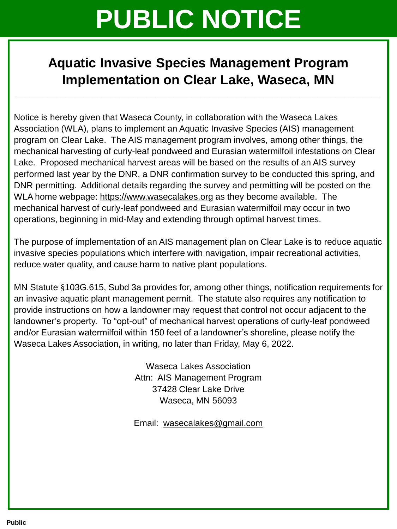## **PUBLIC NOTICE**

### **Aquatic Invasive Species Management Program Implementation on Clear Lake, Waseca, MN**

**\_\_\_\_\_\_\_\_\_\_\_\_\_\_\_\_\_\_\_\_\_\_\_\_\_\_\_\_\_\_\_\_\_\_\_\_\_\_\_\_\_\_\_\_\_\_\_\_\_\_\_\_\_\_\_\_\_\_\_\_\_\_\_\_\_\_\_\_\_\_\_\_\_\_\_\_\_\_\_\_\_**

Notice is hereby given that Waseca County, in collaboration with the Waseca Lakes Association (WLA), plans to implement an Aquatic Invasive Species (AIS) management program on Clear Lake. The AIS management program involves, among other things, the mechanical harvesting of curly-leaf pondweed and Eurasian watermilfoil infestations on Clear Lake. Proposed mechanical harvest areas will be based on the results of an AIS survey performed last year by the DNR, a DNR confirmation survey to be conducted this spring, and DNR permitting. Additional details regarding the survey and permitting will be posted on the WLA home webpage: [https://www.wasecalakes.org](https://www.wasecalakes.org/) as they become available. The mechanical harvest of curly-leaf pondweed and Eurasian watermilfoil may occur in two operations, beginning in mid-May and extending through optimal harvest times.

The purpose of implementation of an AIS management plan on Clear Lake is to reduce aquatic invasive species populations which interfere with navigation, impair recreational activities, reduce water quality, and cause harm to native plant populations.

MN Statute §103G.615, Subd 3a provides for, among other things, notification requirements for an invasive aquatic plant management permit. The statute also requires any notification to provide instructions on how a landowner may request that control not occur adjacent to the landowner's property. To "opt-out" of mechanical harvest operations of curly-leaf pondweed and/or Eurasian watermilfoil within 150 feet of a landowner's shoreline, please notify the Waseca Lakes Association, in writing, no later than Friday, May 6, 2022.

> Waseca Lakes Association Attn: AIS Management Program 37428 Clear Lake Drive Waseca, MN 56093

> Email: [wasecalakes@gmail.com](mailto:wasecalakes@gmail.com)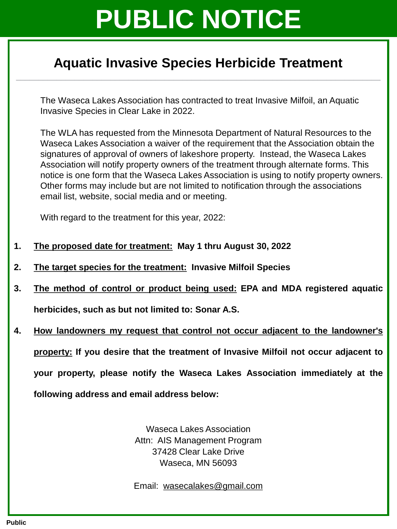## **PUBLIC NOTICE**

### **Aquatic Invasive Species Herbicide Treatment \_\_\_\_\_\_\_\_\_\_\_\_\_\_\_\_\_\_\_\_\_\_\_\_\_\_\_\_\_\_\_\_\_\_\_\_\_\_\_\_\_\_\_\_\_\_\_\_\_\_\_\_\_\_\_\_\_\_\_\_\_\_\_\_\_\_\_\_\_\_\_\_\_\_\_\_\_\_\_\_\_**

The Waseca Lakes Association has contracted to treat Invasive Milfoil, an Aquatic Invasive Species in Clear Lake in 2022.

The WLA has requested from the Minnesota Department of Natural Resources to the Waseca Lakes Association a waiver of the requirement that the Association obtain the signatures of approval of owners of lakeshore property. Instead, the Waseca Lakes Association will notify property owners of the treatment through alternate forms. This notice is one form that the Waseca Lakes Association is using to notify property owners. Other forms may include but are not limited to notification through the associations email list, website, social media and or meeting.

With regard to the treatment for this year, 2022:

- **1. The proposed date for treatment: May 1 thru August 30, 2022**
- **2. The target species for the treatment: Invasive Milfoil Species**
- **3. The method of control or product being used: EPA and MDA registered aquatic herbicides, such as but not limited to: Sonar A.S.**
- **4. How landowners my request that control not occur adjacent to the landowner's property: If you desire that the treatment of Invasive Milfoil not occur adjacent to your property, please notify the Waseca Lakes Association immediately at the following address and email address below:**

Waseca Lakes Association Attn: AIS Management Program 37428 Clear Lake Drive Waseca, MN 56093

Email: [wasecalakes@gmail.com](mailto:wasecalakes@gmail.com)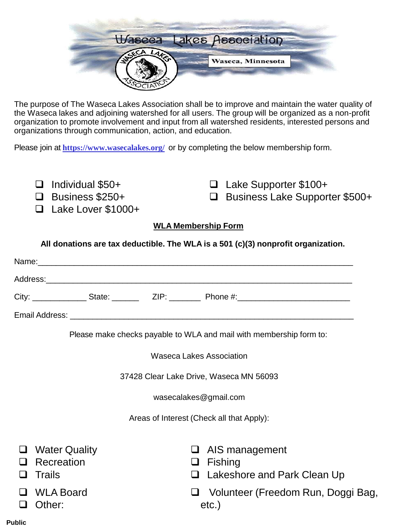

The purpose of The Waseca Lakes Association shall be to improve and maintain the water quality of the Waseca lakes and adjoining watershed for all users. The group will be organized as a non-profit organization to promote involvement and input from all watershed residents, interested persons and organizations through communication, action, and education.

Please join at **<https://www.wasecalakes.org/>** or by completing the below membership form.

- ❑ Individual \$50+
- ❑ Business \$250+
- ❑ Lake Lover \$1000+
- ❑ Lake Supporter \$100+
- ❑ Business Lake Supporter \$500+

#### **WLA Membership Form**

**All donations are tax deductible. The WLA is a 501 (c)(3) nonprofit organization.**

| Name:          | <u> 1980 - Jan Barbara, martin da shekara 1980 - An tsa a tsa a tsa a tsa a tsa a tsa a tsa a tsa a tsa a tsa a t</u> |                                                                                                                                                                                                                                |          |  |
|----------------|-----------------------------------------------------------------------------------------------------------------------|--------------------------------------------------------------------------------------------------------------------------------------------------------------------------------------------------------------------------------|----------|--|
| Address:       |                                                                                                                       |                                                                                                                                                                                                                                |          |  |
| City:          | State:                                                                                                                | ZIP: The Second Second Second Second Second Second Second Second Second Second Second Second Second Second Second Second Second Second Second Second Second Second Second Second Second Second Second Second Second Second Sec | Phone #: |  |
| Email Address: |                                                                                                                       |                                                                                                                                                                                                                                |          |  |

Please make checks payable to WLA and mail with membership form to:

Waseca Lakes Association

37428 Clear Lake Drive, Waseca MN 56093

wasecalakes@gmail.com

Areas of Interest (Check all that Apply):

❑ Water Quality ❑ Recreation ❑ Trails ❑ AIS management ❑ Fishing ❑ Lakeshore and Park Clean Up ❑ WLA Board ❑ Other: ❑ Volunteer (Freedom Run, Doggi Bag, etc.)